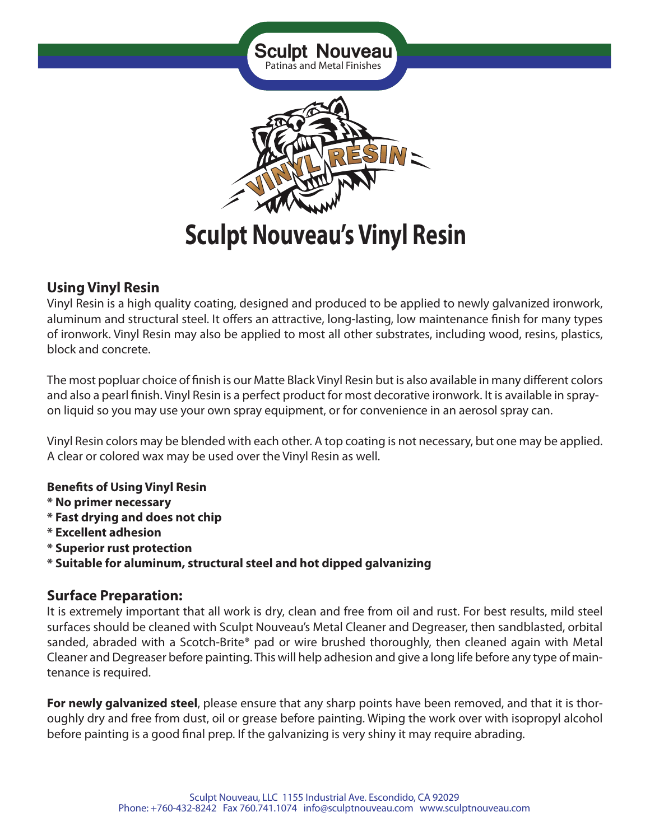

# **Using Vinyl Resin**

Vinyl Resin is a high quality coating, designed and produced to be applied to newly galvanized ironwork, aluminum and structural steel. It offers an attractive, long-lasting, low maintenance finish for many types of ironwork. Vinyl Resin may also be applied to most all other substrates, including wood, resins, plastics, block and concrete.

The most popluar choice of finish is our Matte Black Vinyl Resin but is also available in many different colors and also a pearl finish. Vinyl Resin is a perfect product for most decorative ironwork. It is available in sprayon liquid so you may use your own spray equipment, or for convenience in an aerosol spray can.

Vinyl Resin colors may be blended with each other. A top coating is not necessary, but one may be applied. A clear or colored wax may be used over the Vinyl Resin as well.

#### **Benefits of Using Vinyl Resin**

- **\* No primer necessary**
- **\* Fast drying and does not chip**
- **\* Excellent adhesion**
- **\* Superior rust protection**
- **\* Suitable for aluminum, structural steel and hot dipped galvanizing**

# **Surface Preparation:**

It is extremely important that all work is dry, clean and free from oil and rust. For best results, mild steel surfaces should be cleaned with Sculpt Nouveau's Metal Cleaner and Degreaser, then sandblasted, orbital sanded, abraded with a Scotch-Brite® pad or wire brushed thoroughly, then cleaned again with Metal Cleaner and Degreaser before painting. This will help adhesion and give a long life before any type of maintenance is required.

**For newly galvanized steel**, please ensure that any sharp points have been removed, and that it is thoroughly dry and free from dust, oil or grease before painting. Wiping the work over with isopropyl alcohol before painting is a good final prep. If the galvanizing is very shiny it may require abrading.